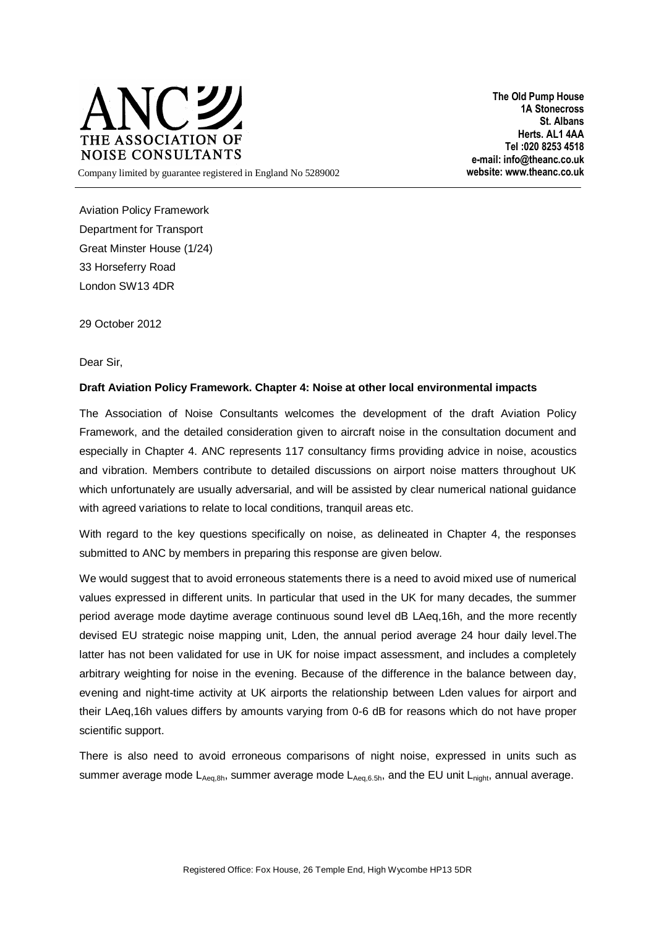

**The Old Pump House 1A Stonecross St. Albans Herts. AL1 4AA Tel :020 8253 4518 e-mail: info@theanc.co.uk** Company limited by guarantee registered in England No 5289002 **website: www.theanc.co.uk**

Aviation Policy Framework Department for Transport Great Minster House (1/24) 33 Horseferry Road London SW13 4DR

29 October 2012

Dear Sir,

## **Draft Aviation Policy Framework. Chapter 4: Noise at other local environmental impacts**

The Association of Noise Consultants welcomes the development of the draft Aviation Policy Framework, and the detailed consideration given to aircraft noise in the consultation document and especially in Chapter 4. ANC represents 117 consultancy firms providing advice in noise, acoustics and vibration. Members contribute to detailed discussions on airport noise matters throughout UK which unfortunately are usually adversarial, and will be assisted by clear numerical national guidance with agreed variations to relate to local conditions, tranquil areas etc.

With regard to the key questions specifically on noise, as delineated in Chapter 4, the responses submitted to ANC by members in preparing this response are given below.

We would suggest that to avoid erroneous statements there is a need to avoid mixed use of numerical values expressed in different units. In particular that used in the UK for many decades, the summer period average mode daytime average continuous sound level dB LAeq,16h, and the more recently devised EU strategic noise mapping unit, Lden, the annual period average 24 hour daily level.The latter has not been validated for use in UK for noise impact assessment, and includes a completely arbitrary weighting for noise in the evening. Because of the difference in the balance between day, evening and night-time activity at UK airports the relationship between Lden values for airport and their LAeq,16h values differs by amounts varying from 0-6 dB for reasons which do not have proper scientific support.

There is also need to avoid erroneous comparisons of night noise, expressed in units such as summer average mode  $L_{Aeq,8h}$ , summer average mode  $L_{Aeq,6.5h}$ , and the EU unit  $L_{night}$ , annual average.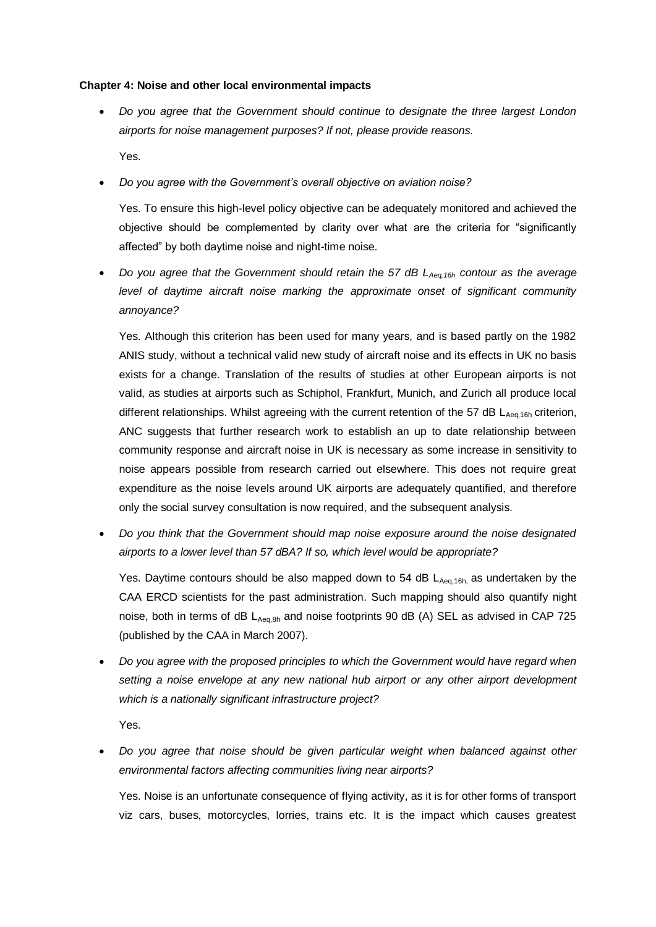## **Chapter 4: Noise and other local environmental impacts**

 *Do you agree that the Government should continue to designate the three largest London airports for noise management purposes? If not, please provide reasons.*  Yes.

*Do you agree with the Government's overall objective on aviation noise?* 

Yes. To ensure this high-level policy objective can be adequately monitored and achieved the objective should be complemented by clarity over what are the criteria for "significantly affected" by both daytime noise and night-time noise.

 *Do you agree that the Government should retain the 57 dB LAeq,16h contour as the average level of daytime aircraft noise marking the approximate onset of significant community annoyance?* 

Yes. Although this criterion has been used for many years, and is based partly on the 1982 ANIS study, without a technical valid new study of aircraft noise and its effects in UK no basis exists for a change. Translation of the results of studies at other European airports is not valid, as studies at airports such as Schiphol, Frankfurt, Munich, and Zurich all produce local different relationships. Whilst agreeing with the current retention of the 57 dB  $L_{Aea,16h}$  criterion, ANC suggests that further research work to establish an up to date relationship between community response and aircraft noise in UK is necessary as some increase in sensitivity to noise appears possible from research carried out elsewhere. This does not require great expenditure as the noise levels around UK airports are adequately quantified, and therefore only the social survey consultation is now required, and the subsequent analysis.

 *Do you think that the Government should map noise exposure around the noise designated airports to a lower level than 57 dBA? If so, which level would be appropriate?* 

Yes. Daytime contours should be also mapped down to 54 dB  $L_{Aeq,16h}$  as undertaken by the CAA ERCD scientists for the past administration. Such mapping should also quantify night noise, both in terms of dB  $L_{Aeq,8h}$  and noise footprints 90 dB (A) SEL as advised in CAP 725 (published by the CAA in March 2007).

 *Do you agree with the proposed principles to which the Government would have regard when setting a noise envelope at any new national hub airport or any other airport development which is a nationally significant infrastructure project?* 

Yes.

 *Do you agree that noise should be given particular weight when balanced against other environmental factors affecting communities living near airports?* 

Yes. Noise is an unfortunate consequence of flying activity, as it is for other forms of transport viz cars, buses, motorcycles, lorries, trains etc. It is the impact which causes greatest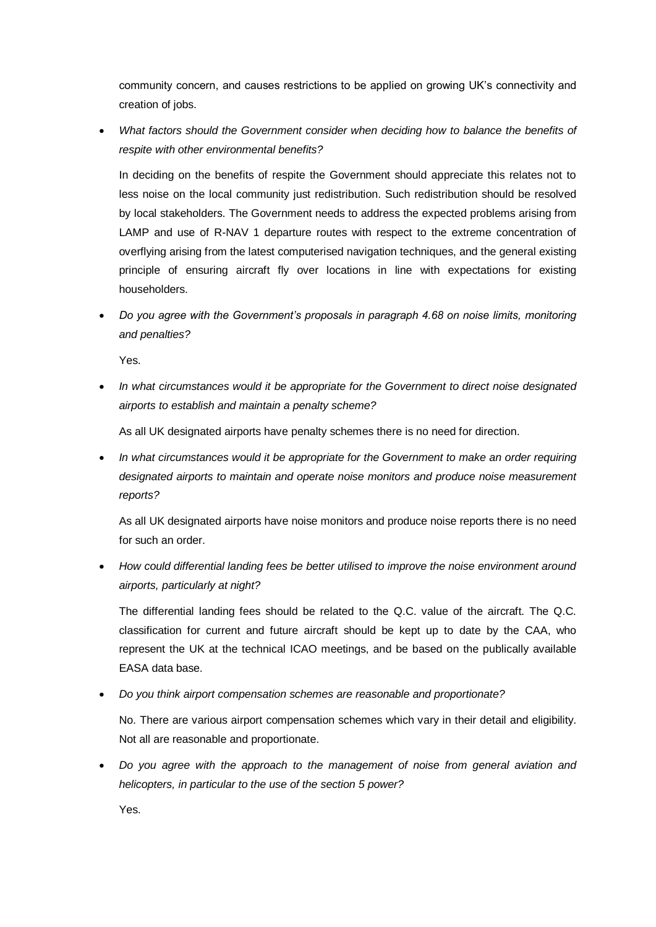community concern, and causes restrictions to be applied on growing UK's connectivity and creation of jobs.

 *What factors should the Government consider when deciding how to balance the benefits of respite with other environmental benefits?*

In deciding on the benefits of respite the Government should appreciate this relates not to less noise on the local community just redistribution. Such redistribution should be resolved by local stakeholders. The Government needs to address the expected problems arising from LAMP and use of R-NAV 1 departure routes with respect to the extreme concentration of overflying arising from the latest computerised navigation techniques, and the general existing principle of ensuring aircraft fly over locations in line with expectations for existing householders.

 *Do you agree with the Government's proposals in paragraph 4.68 on noise limits, monitoring and penalties?* 

Yes.

 *In what circumstances would it be appropriate for the Government to direct noise designated airports to establish and maintain a penalty scheme?* 

As all UK designated airports have penalty schemes there is no need for direction.

 *In what circumstances would it be appropriate for the Government to make an order requiring designated airports to maintain and operate noise monitors and produce noise measurement reports?* 

As all UK designated airports have noise monitors and produce noise reports there is no need for such an order.

 *How could differential landing fees be better utilised to improve the noise environment around airports, particularly at night?* 

The differential landing fees should be related to the Q.C. value of the aircraft. The Q.C. classification for current and future aircraft should be kept up to date by the CAA, who represent the UK at the technical ICAO meetings, and be based on the publically available EASA data base.

*Do you think airport compensation schemes are reasonable and proportionate?*

No. There are various airport compensation schemes which vary in their detail and eligibility. Not all are reasonable and proportionate.

 *Do you agree with the approach to the management of noise from general aviation and helicopters, in particular to the use of the section 5 power?* 

Yes.